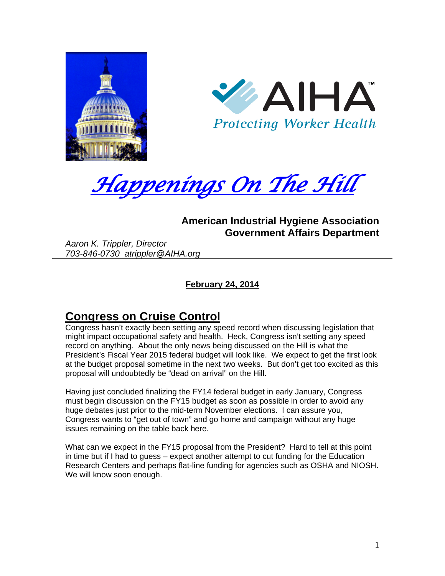





### **American Industrial Hygiene Association Government Affairs Department**

*Aaron K. Trippler, Director 703-846-0730 atrippler@AIHA.org* 

**February 24, 2014** 

# **Congress on Cruise Control**

Congress hasn't exactly been setting any speed record when discussing legislation that might impact occupational safety and health. Heck, Congress isn't setting any speed record on anything. About the only news being discussed on the Hill is what the President's Fiscal Year 2015 federal budget will look like. We expect to get the first look at the budget proposal sometime in the next two weeks. But don't get too excited as this proposal will undoubtedly be "dead on arrival" on the Hill.

Having just concluded finalizing the FY14 federal budget in early January, Congress must begin discussion on the FY15 budget as soon as possible in order to avoid any huge debates just prior to the mid-term November elections. I can assure you, Congress wants to "get out of town" and go home and campaign without any huge issues remaining on the table back here.

What can we expect in the FY15 proposal from the President? Hard to tell at this point in time but if I had to guess – expect another attempt to cut funding for the Education Research Centers and perhaps flat-line funding for agencies such as OSHA and NIOSH. We will know soon enough.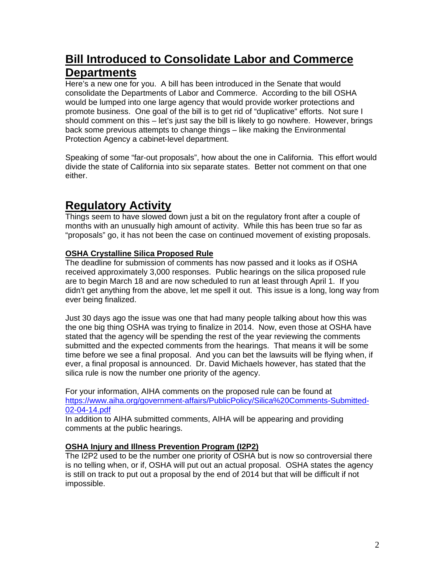# **Bill Introduced to Consolidate Labor and Commerce Departments**

Here's a new one for you. A bill has been introduced in the Senate that would consolidate the Departments of Labor and Commerce. According to the bill OSHA would be lumped into one large agency that would provide worker protections and promote business. One goal of the bill is to get rid of "duplicative" efforts. Not sure I should comment on this – let's just say the bill is likely to go nowhere. However, brings back some previous attempts to change things – like making the Environmental Protection Agency a cabinet-level department.

Speaking of some "far-out proposals", how about the one in California. This effort would divide the state of California into six separate states. Better not comment on that one either.

# **Regulatory Activity**

Things seem to have slowed down just a bit on the regulatory front after a couple of months with an unusually high amount of activity. While this has been true so far as "proposals" go, it has not been the case on continued movement of existing proposals.

### **OSHA Crystalline Silica Proposed Rule**

The deadline for submission of comments has now passed and it looks as if OSHA received approximately 3,000 responses. Public hearings on the silica proposed rule are to begin March 18 and are now scheduled to run at least through April 1. If you didn't get anything from the above, let me spell it out. This issue is a long, long way from ever being finalized.

Just 30 days ago the issue was one that had many people talking about how this was the one big thing OSHA was trying to finalize in 2014. Now, even those at OSHA have stated that the agency will be spending the rest of the year reviewing the comments submitted and the expected comments from the hearings. That means it will be some time before we see a final proposal. And you can bet the lawsuits will be flying when, if ever, a final proposal is announced. Dr. David Michaels however, has stated that the silica rule is now the number one priority of the agency.

For your information, AIHA comments on the proposed rule can be found at https://www.aiha.org/government-affairs/PublicPolicy/Silica%20Comments-Submitted-02-04-14.pdf

In addition to AIHA submitted comments, AIHA will be appearing and providing comments at the public hearings.

### **OSHA Injury and Illness Prevention Program (I2P2)**

The I2P2 used to be the number one priority of OSHA but is now so controversial there is no telling when, or if, OSHA will put out an actual proposal. OSHA states the agency is still on track to put out a proposal by the end of 2014 but that will be difficult if not impossible.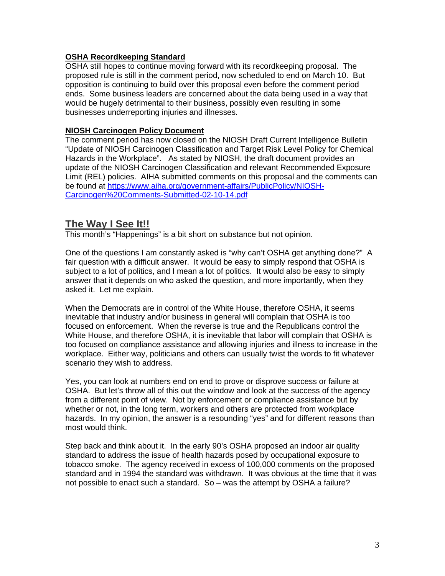#### **OSHA Recordkeeping Standard**

OSHA still hopes to continue moving forward with its recordkeeping proposal. The proposed rule is still in the comment period, now scheduled to end on March 10. But opposition is continuing to build over this proposal even before the comment period ends. Some business leaders are concerned about the data being used in a way that would be hugely detrimental to their business, possibly even resulting in some businesses underreporting injuries and illnesses.

#### **NIOSH Carcinogen Policy Document**

The comment period has now closed on the NIOSH Draft Current Intelligence Bulletin "Update of NIOSH Carcinogen Classification and Target Risk Level Policy for Chemical Hazards in the Workplace". As stated by NIOSH, the draft document provides an update of the NIOSH Carcinogen Classification and relevant Recommended Exposure Limit (REL) policies. AIHA submitted comments on this proposal and the comments can be found at https://www.aiha.org/government-affairs/PublicPolicy/NIOSH-Carcinogen%20Comments-Submitted-02-10-14.pdf

### **The Way I See It!!**

This month's "Happenings" is a bit short on substance but not opinion.

One of the questions I am constantly asked is "why can't OSHA get anything done?" A fair question with a difficult answer. It would be easy to simply respond that OSHA is subject to a lot of politics, and I mean a lot of politics. It would also be easy to simply answer that it depends on who asked the question, and more importantly, when they asked it. Let me explain.

When the Democrats are in control of the White House, therefore OSHA, it seems inevitable that industry and/or business in general will complain that OSHA is too focused on enforcement. When the reverse is true and the Republicans control the White House, and therefore OSHA, it is inevitable that labor will complain that OSHA is too focused on compliance assistance and allowing injuries and illness to increase in the workplace. Either way, politicians and others can usually twist the words to fit whatever scenario they wish to address.

Yes, you can look at numbers end on end to prove or disprove success or failure at OSHA. But let's throw all of this out the window and look at the success of the agency from a different point of view. Not by enforcement or compliance assistance but by whether or not, in the long term, workers and others are protected from workplace hazards. In my opinion, the answer is a resounding "yes" and for different reasons than most would think.

Step back and think about it. In the early 90's OSHA proposed an indoor air quality standard to address the issue of health hazards posed by occupational exposure to tobacco smoke. The agency received in excess of 100,000 comments on the proposed standard and in 1994 the standard was withdrawn. It was obvious at the time that it was not possible to enact such a standard. So – was the attempt by OSHA a failure?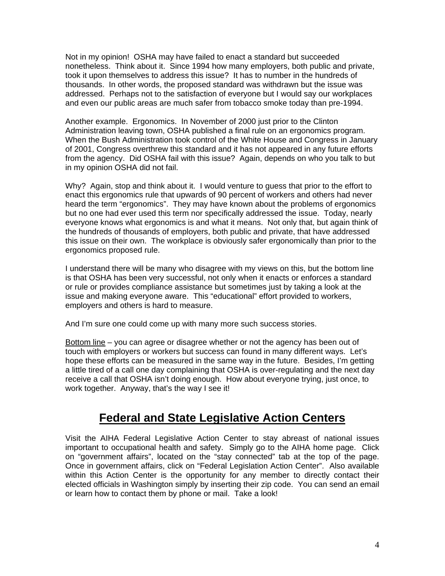Not in my opinion! OSHA may have failed to enact a standard but succeeded nonetheless. Think about it. Since 1994 how many employers, both public and private, took it upon themselves to address this issue? It has to number in the hundreds of thousands. In other words, the proposed standard was withdrawn but the issue was addressed. Perhaps not to the satisfaction of everyone but I would say our workplaces and even our public areas are much safer from tobacco smoke today than pre-1994.

Another example. Ergonomics. In November of 2000 just prior to the Clinton Administration leaving town, OSHA published a final rule on an ergonomics program. When the Bush Administration took control of the White House and Congress in January of 2001, Congress overthrew this standard and it has not appeared in any future efforts from the agency. Did OSHA fail with this issue? Again, depends on who you talk to but in my opinion OSHA did not fail.

Why? Again, stop and think about it. I would venture to guess that prior to the effort to enact this ergonomics rule that upwards of 90 percent of workers and others had never heard the term "ergonomics". They may have known about the problems of ergonomics but no one had ever used this term nor specifically addressed the issue. Today, nearly everyone knows what ergonomics is and what it means. Not only that, but again think of the hundreds of thousands of employers, both public and private, that have addressed this issue on their own. The workplace is obviously safer ergonomically than prior to the ergonomics proposed rule.

I understand there will be many who disagree with my views on this, but the bottom line is that OSHA has been very successful, not only when it enacts or enforces a standard or rule or provides compliance assistance but sometimes just by taking a look at the issue and making everyone aware. This "educational" effort provided to workers, employers and others is hard to measure.

And I'm sure one could come up with many more such success stories.

Bottom line – you can agree or disagree whether or not the agency has been out of touch with employers or workers but success can found in many different ways. Let's hope these efforts can be measured in the same way in the future. Besides, I'm getting a little tired of a call one day complaining that OSHA is over-regulating and the next day receive a call that OSHA isn't doing enough. How about everyone trying, just once, to work together. Anyway, that's the way I see it!

# **Federal and State Legislative Action Centers**

Visit the AIHA Federal Legislative Action Center to stay abreast of national issues important to occupational health and safety. Simply go to the AIHA home page. Click on "government affairs", located on the "stay connected" tab at the top of the page. Once in government affairs, click on "Federal Legislation Action Center". Also available within this Action Center is the opportunity for any member to directly contact their elected officials in Washington simply by inserting their zip code. You can send an email or learn how to contact them by phone or mail. Take a look!